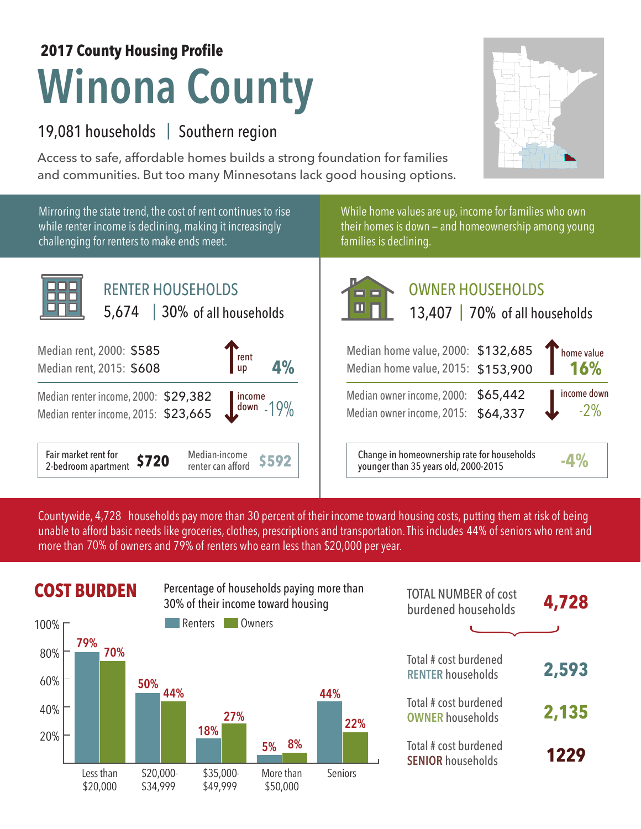## **Winona County 2017 County Housing Profile**

## 19,081 households | Southern region

Access to safe, affordable homes builds a strong foundation for families and communities. But too many Minnesotans lack good housing options.

**16%**

-2% income down

Mirroring the state trend, the cost of rent continues to rise While home values are up, income for families who own while renter income is declining, making it increasingly their homes is down — and homeownership among young challenging for renters to make ends meet. families is declining. ПГ RENTER HOUSEHOLDS OWNER HOUSEHOLDS nnr 5,674 | 30% of all households 13,407 | 70% of all households of all households Median rent, 2000: \$585 Median home value, 2000: \$132,685 home value  $\int_{\text{up}}^{\text{rent}}$  4% Median rent, 2015: \$608 up Median home value, 2015: \$153,900 \$65,442 Median owner income, 2000: Median renter income, 2000: \$29,382 income down -19% Median owner income, 2015: \$64,337 Median renter income, 2015: \$23,665 Median-income  $\left\vert \begin{array}{c} \bullet \end{array} \right\vert$   $\left\vert \begin{array}{c} \bullet \end{array} \right\vert$  Change in homeownership rate for households renter can afford  $\left\vert \begin{array}{c} \bullet \end{array} \right\vert$   $\left\vert \begin{array}{c} \bullet \end{array} \right\vert$  counger than 35 years old, 2000-2015 Fair market rent for 2-bedroom apartment **\$720** Median-income younger than 35 years old, 2000-2015 **-4%**

Countywide, 4,728  $\,$  households pay more than 30 percent of their income toward housing costs, putting them at risk of being  $\,$ unable to afford basic needs like groceries, clothes, prescriptions and transportation. This includes 44% of seniors who rent and more than 70% of owners and 79% of renters who earn less than \$20,000 per year.





| <b>TOTAL NUMBER of cost</b><br>burdened households | 4,728 |
|----------------------------------------------------|-------|
|                                                    |       |
| Total # cost burdened<br><b>RENTER households</b>  | 2,593 |
| Total # cost burdened<br><b>OWNER households</b>   | 2,135 |
| Total # cost burdened<br><b>SENIOR households</b>  | 1229  |